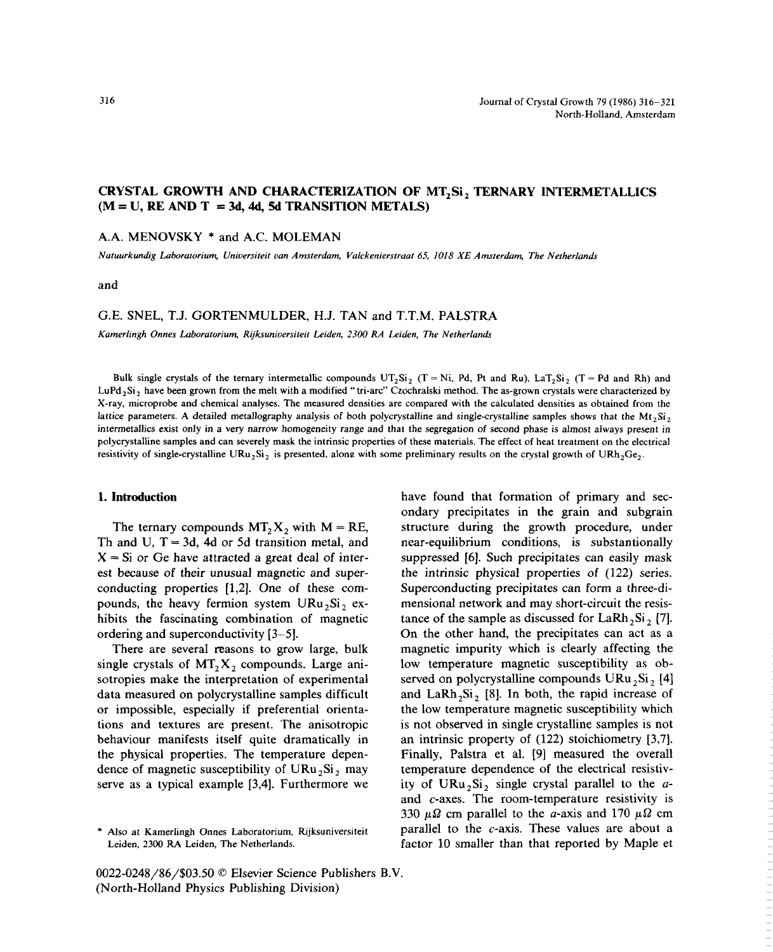## **CRYSTAL GROWTH AND CHARACTERIZATION OF MT, Si, TERNARY INTERMETALLICS**  $(M = U, RE AND T = 3d, 4d, 5d TRANSITION METALS)$

# A.A. MENOVSKY \* and A.C. MOLEMAN

**Natuurkundig Laboratorium,** *Universiteit van Amsterdam, Valckenierstraat 65, 1018 XE Amsterdam, The Netherlands*

and

### G.E. SNEL, Ti. GORTENMULDER, H.J. TAN and T.T.M. PALSTRA

*Kamer/ingh Onnes Laboratorium, R,jksuniversiteit Leiden, 2300 RA Leiden, The Netherlands*

Bulk single crystals of the ternary intermetallic compounds  $UT_2Si_2$  (T = Ni, Pd, Pt and Ru), LaT<sub>2</sub>Si<sub>2</sub> (T = Pd and Rh) and LuPd<sub>2</sub>Si<sub>2</sub> have been grown from the melt with a modified "tri-arc" Czochralski method. The as-grown crystals were characterized by X-ray, microprobe and chemical analyses. The measured densities are compared with the ca  $X_1$ , microprobe and chemical analyses. The measured densities are compared with the calculated densities are chemical densities are compared from the calculated from the calculated from the calculated from the calculate lattice parameters. A detailed metallography analysis of both polycrystalline and single-crystalline samples shows that the Mt<sub>2</sub>SI<sub>2</sub> intermetallics exist only in a very narrow homogeneity range and that the segregation of second phase is almost always present in polycrystalline samples and can severely mask the intrinsic properties ofthese materials. The effect of heat treatment on the electrical resistivity of single-crystalline URu<sub>2</sub>Si<sub>2</sub> is presented, along with some preliminary results on the crystal growth of URh<sub>2</sub>Ge<sub>2</sub>.

Th and U,  $T = 3d$ , 4d or 5d transition metal, and near-equilibrium conditions, is substantionally  $X = Si$  or Ge have attracted a great deal of inter-<br>suppressed [6]. Such precipitates can easily mask  $X = Si$  or Ge have attracted a great deal of inter-<br>est because of their unusual magnetic and super-<br>the intrinsic physical properties of (122) series. est because of their unusual magnetic and super-<br>conducting properties of (122) series.<br>conducting properties (1,2). One of these com-<br>Superconducting precipitates can form a three-diconducting properties [1,2]. One of these com-<br>pounds, the heavy fermion system  $URu_2Si_2$  ex-<br>mensional network and may short-circuit the resispounds, the heavy fermion system  $URu_2Si_2$  ex-<br>hibits the fascinating combination of magnetic

single crystals of  $MT_2X_2$  compounds. Large ani-<br>sotropies make the interpretation of experimental sotropies make the interpretation of experimental served on polycrystalline compounds  $URu_2Si_2$  [4] data measured on polycrystalline samples difficult and LaRh<sub>2</sub>Si<sub>2</sub> [8]. In both, the rapid increase of data measured on polycrystalline samples difficult and  $LaRh_2Si_2$  [8]. In both, the rapid increase of or impossible, especially if preferential orienta-<br>the low temperature magnetic susceptibility which or impossible, especially if preferential orienta-<br>the low temperature magnetic susceptibility which<br>tions and textures are present. The anisotropic is not observed in single crystalline samples is not tions and textures are present. The anisotropic is not observed in single crystalline samples is not behaviour manifests itself quite dramatically in an intrinsic property of (122) stoichiometry [3,7]. the physical properties. The temperature dependence of magnetic susceptibility of  $URu<sub>2</sub>Si<sub>2</sub>$  may dence of magnetic susceptibility of  $URu_2Si_2$  may temperature dependence of the electrical resistiv-<br>serve as a typical example [3,4]. Furthermore we ity of  $URu_2Si_2$  single crystal parallel to the a-

0022-0248/86/\$03.50 © Elsevier Science Publishers B.V. (North-Holland Physics Publishing Division)

1. Introduction have found that formation of primary and secondary precipitates in the grain and subgrain<br>structure during the growth procedure, under The ternary compounds  $MT_2X_2$  with  $M = RE$ , structure during the growth procedure, under and U,  $T = 3d$ , 4d or 5d transition metal, and near-equilibrium conditions, is substantionally hibits the fascinating combination of magnetic tance of the sample as discussed for  $\text{LaRh}_2 \text{Si}_2$  [7].<br>
On the other hand, the precipitates can act as a On the other hand, the precipitates can act as a magnetic impurity which is clearly affecting the There are several reasons to grow large, bulk magnetic impurity which is clearly affecting the real real of  $MT_1X_2$ , compounds. Large ani-<br>low temperature magnetic susceptibility as oban intrinsic property of  $(122)$  stoichiometry [3,7].<br>Finally, Palstra et al. [9] measured the overall ity of URu<sub>2</sub>Si<sub>2</sub> single crystal parallel to the aand *c*-axes. The room-temperature resistivity is 330  $\mu\Omega$  cm parallel to the *a*-axis and 170  $\mu\Omega$  cm parallel to the  $c$ -axis. These values are about a factor 10 smaller than that reported by Maple et

<sup>\*</sup> Also at Kamerlingh Onnes Laboratorium, Rijksuniversiteit Leiden, 2300 RA Leiden, The Netherlands.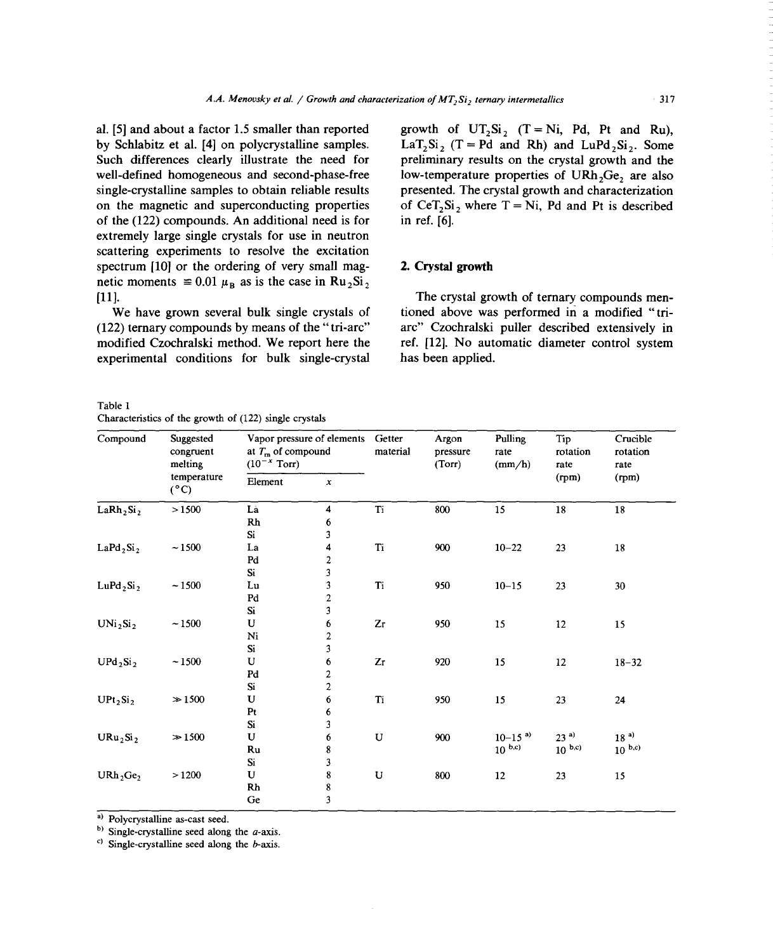by Schlabitz et al. [4] on polycrystalline samples. LaT<sub>2</sub>Si<sub>2</sub> (T = Pd and Rh) and LuPd<sub>2</sub>Si<sub>2</sub>. Some Such differences clearly illustrate the need for preliminary results on the crystal growth and the well-defined homogeneous and second-phase-free low-temperature properties of  $\text{URh}_2\text{Ge}_2$  are also single-crystalline samples to obtain reliable results presented. The crystal growth and characterization single-crystalline samples to obtain reliable results presented. The crystal growth and characterization on the magnetic and superconducting properties of CeT<sub>2</sub>Si<sub>2</sub> where  $T = Ni$ , Pd and Pt is described on the magnetic and superconducting properties of  $C_{12}$  si<sub>2</sub> where  $T = N_1$ , Pd and Pt is described<br>of the (122) compared to the additional need is for the ref. [6] of the  $(122)$  compounds. An additional need is for in ref. [6]. extremely large single crystals for use in neutron scattering experiments to resolve the excitation spectrum [10] or the ordering of very small mag- 2. Crystal growth netic moments  $\approx 0.01 \mu_B$  as is the case in Ru<sub>2</sub>Si<sub>2</sub> [11].

(122) ternary compounds by means of the "tn-arc" arc" Czochralski puller described extensively in modified Czochralski method. We report here the ref. [12]. No automatic diameter control system experimental conditions for bulk single-crystal has been applied.

Table <sup>1</sup> Characteristics of the growth of (122) single crystals

al. [5] and about a factor 1.5 smaller than reported growth of  $UT_2Si_2$  (T = Ni, Pd, Pt and Ru), by Schlabitz et al. [4] on polycrystalline samples. LaT, Si, (T = Pd and Rh) and LuPd, Si, Some

[1].<br>We have grown several bulk single crystals of tioned above was performed in a modified "tri-We have grown several bulk single crystals of tioned above was performed in a modified "tri-<br>2) tangen course we do by magne of the "tri-age". Come Creekseleki muller described enterprisely in

| Compound                          | Suggested<br>congruent<br>melting<br>temperature<br>$(^{\circ}C)$ | Vapor pressure of elements<br>at $T_{\rm m}$ of compound<br>$(10^{-x} \text{ Torr})$ |                         | Getter<br>material     | Argon<br>pressure<br>(Torr) | Pulling<br>rate<br>$\text{(mm/h)}$ | Tip<br>rotation<br>rate | Crucible<br>rotation<br>rate |
|-----------------------------------|-------------------------------------------------------------------|--------------------------------------------------------------------------------------|-------------------------|------------------------|-----------------------------|------------------------------------|-------------------------|------------------------------|
|                                   |                                                                   | Element                                                                              | $\pmb{x}$               |                        |                             |                                    | (rpm)                   | (rpm)                        |
| LaRh <sub>2</sub> Si <sub>2</sub> | >1500                                                             | La                                                                                   | 4                       | Ti                     | 800                         | 15                                 | 18                      | 18                           |
|                                   |                                                                   | $\mathbf{Rh}$                                                                        | 6                       |                        |                             |                                    |                         |                              |
|                                   |                                                                   | Si.                                                                                  | 3                       |                        |                             |                                    |                         |                              |
| LaPd <sub>2</sub> Si <sub>2</sub> | ~1500                                                             | La                                                                                   | 4                       | Ti                     | 900                         | $10 - 22$                          | 23                      | 18                           |
|                                   |                                                                   | Pd                                                                                   | $\overline{\mathbf{c}}$ |                        |                             |                                    |                         |                              |
|                                   |                                                                   | $S_i$                                                                                | $\overline{\mathbf{3}}$ |                        |                             |                                    |                         |                              |
| LuPd <sub>2</sub> Si <sub>2</sub> | $-1500$                                                           | Lu                                                                                   | 3                       | Ti                     | 950                         | $10 - 15$                          | 23                      | 30                           |
|                                   |                                                                   | P <sub>d</sub>                                                                       | $\overline{\mathbf{c}}$ |                        |                             |                                    |                         |                              |
|                                   |                                                                   | Si                                                                                   | $\overline{\mathbf{3}}$ |                        |                             |                                    |                         |                              |
| UNi <sub>2</sub> Si <sub>2</sub>  | ~1500                                                             | U                                                                                    | 6                       | Zr                     | 950                         | $15\,$                             | 12                      | 15                           |
|                                   |                                                                   | $\rm Ni$                                                                             | $\overline{\mathbf{c}}$ |                        |                             |                                    |                         |                              |
|                                   |                                                                   | Si                                                                                   | $\overline{\mathbf{3}}$ |                        |                             |                                    |                         |                              |
| $UPd_2Si_2$                       | $-1500$                                                           | U                                                                                    | 6                       | $\mathbf{Z}\mathbf{r}$ | 920                         | 15                                 | 12                      | $18 - 32$                    |
|                                   |                                                                   | Pd                                                                                   | $\overline{\mathbf{c}}$ |                        |                             |                                    |                         |                              |
|                                   |                                                                   | Si                                                                                   | $\boldsymbol{2}$        |                        |                             |                                    |                         |                              |
| $UPt_2Si_2$                       | $\gg$ 1500                                                        | U                                                                                    | $\bf 6$                 | Ti                     | 950                         | 15                                 | 23                      | 24                           |
|                                   |                                                                   | Pt                                                                                   | 6                       |                        |                             |                                    |                         |                              |
|                                   |                                                                   | Si                                                                                   | 3                       |                        |                             |                                    |                         |                              |
| $URu_2Si_2$                       | $\gg 1500$                                                        | U                                                                                    | 6                       | $\mathbf U$            | 900                         | $10-15$ <sup>a)</sup>              | 23 <sup>a</sup>         | 18 <sup>a</sup>              |
|                                   |                                                                   | Ru                                                                                   | $\bf 8$                 |                        |                             | $10^{(b,c)}$                       | $10^{b,c}$              | $10^{b,c}$                   |
|                                   |                                                                   | Si                                                                                   | 3                       |                        |                             |                                    |                         |                              |
| URh <sub>2</sub> Ge <sub>2</sub>  | >1200                                                             | U                                                                                    | $\bf 8$                 | $\mathbf U$            | 800                         | $12\,$                             | 23                      | 15                           |
|                                   |                                                                   | Rh                                                                                   | $\bf 8$                 |                        |                             |                                    |                         |                              |
|                                   |                                                                   | Ge                                                                                   | 3                       |                        |                             |                                    |                         |                              |

a) Polycrystalline as-cast seed.

 $b)$  Single-crystalline seed along the *a*-axis.

 $\epsilon$ ) Single-crystalline seed along the *b*-axis.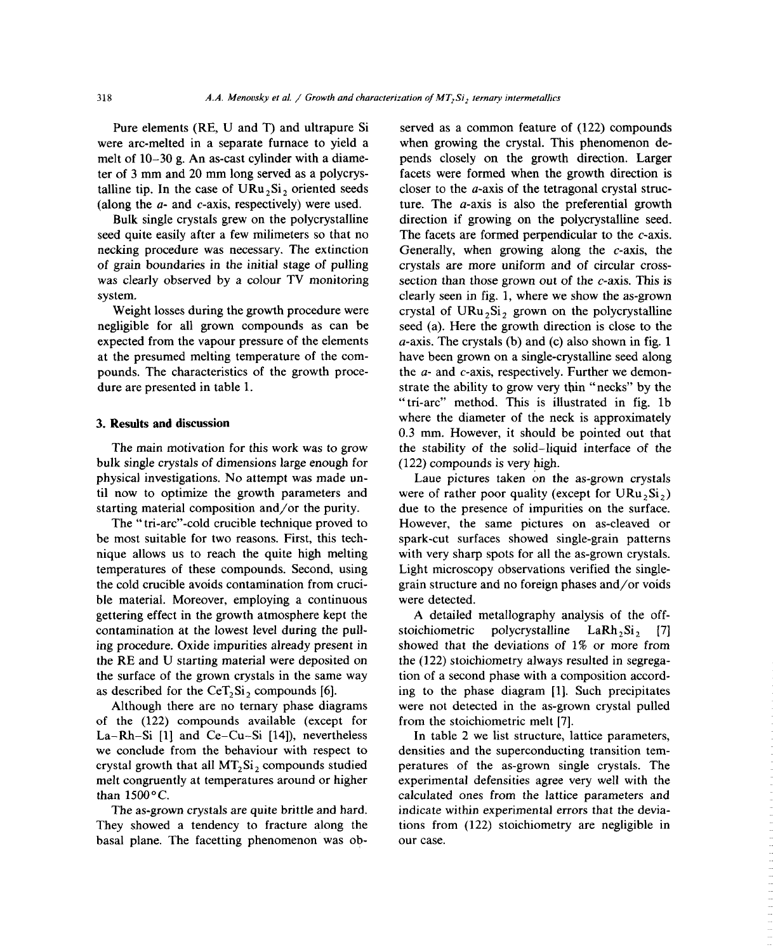Pure elements (RE, U and T) and ultrapure Si served as a common feature of (122) compounds were arc-melted in a separate furnace to yield a when growing the crystal. This phenomenon detalline tip. In the case of  $URu_2Si_2$  oriented seeds (along the *a*- and *c*-axis, respectively) were used.

necking procedure was necessary. The extinction Generally, when growing along the  $c$ -axis, the of grain boundaries in the initial stage of pulling crystals are more uniform and of circular cross-<br>was clearly observed by a colour TV monitoring section than those grown out of the c-axis. This is

expected from the vapour pressure of the elements a-axis. The crystals (b) and (c) also shown in fig. 1 at the presumed melting temperature of the com-<br>have been grown on a single-crystalline seed along pounds. The characteristics of the growth proce-<br>dure are presented in table 1.<br>strate the ability to grow very thin "necks" by the

bulk single crystals of dimensions large enough for physical investigations. No attempt was made unphysical investigations. No attempt was made un-<br>til now to optimize the growth parameters and were of rather poor quality (except for  $URu_2Si_2$ ) til now to optimize the growth parameters and were of rather poor quality (except for  $URu_2Si_2$ ) starting material composition and/or the purity. due to the presence of impurities on the surface.

be most suitable for two reasons. First, this tech-<br>nique allows us to reach the quite high melting with very sharp spots for all the as-grown crystals. nique allows us to reach the quite high melting with very sharp spots for all the as-grown crystals.<br>
temperatures of these compounds. Second, using Light microscopy observations verified the singletemperatures of these compounds. Second, using Light microscopy observations verified the single-<br>the cold crucible avoids contamination from cruci-<br>grain structure and no foreign phases and/or voids the cold crucible avoids contamination from cruci-<br>ble material. Moreover, employing a continuous were detected. ble material. Moreover, employing a continuous were detected. gettering effect in the growth atmosphere kept the A detailed metallography analysis of the offcontamination at the lowest level during the pull-<br>ing procedure. Oxide impurities already present in showed that the deviations of  $1\%$  or more from ing procedure. Oxide impurities already present in showed that the deviations of 1% or more from<br>the RE and U starting material were deposited on the (122) stoichiometry always resulted in segregathe RE and U starting material were deposited on the (122) stoichiometry always resulted in segrega-<br>the surface of the grown crystals in the same way tion of a second phase with a composition accordas described for the  $CeT_2Si_2$  compounds [6].<br>Although there are no ternary phase diagrams

of the  $(122)$  compounds available (except for from the stoichiometric melt [7].<br>La-Rh-Si [1] and Ce-Cu-Si [14]), nevertheless In table 2 we list structure, lattice parameters, La–Rh–Si  $[1]$  and Ce–Cu–Si  $[14]$ ), nevertheless we conclude from the behaviour with respect to we conclude from the behaviour with respect to densities and the superconducting transition tem-<br>crystal growth that all  $MT_2Si_2$  compounds studied peratures of the as-grown single crystals. The crystal growth that all  $MT_2Si_2$  compounds studied peratures of the as-grown single crystals. The melt congruently at temperatures around or higher experimental defensities agree very well with the melt congruently at temperatures around or higher experimental defensities agree very well with the than 1500 °C.<br>
calculated ones from the lattice parameters and

The as-grown crystals are quite brittle and hard.<br>They showed a tendency to fracture along the basal plane. The facetting phenomenon was ob-

were arc-melted in a separate furnace to yield a when growing the crystal. This phenomenon de-<br>melt of 10–30 g. An as-cast cylinder with a diame-<br>pends closely on the growth direction. Larger melt of 10–30 g. An as-cast cylinder with a diame-<br>ter of 3 mm and 20 mm long served as a polycrys-<br>facets were formed when the growth direction is closer to the  $a$ -axis of the tetragonal crystal struc-(along the a- and c-axis, respectively) were used. ture. The a-axis is also the preferential growth bulk single crystals grew on the polycrystalline direction if growing on the polycrystalline seed. Bulk single crystals grew on the polycrystalline direction if growing on the polycrystalline seed.<br>seed quite easily after a few milimeters so that no The facets are formed perpendicular to the c-axis. seed quite easily after a few millimeters so that no The facets are formed perpendicular to the c-axis. was clearly observed by a colour TV monitoring section than those grown out of the  $c$ -axis. This is system.<br>
seen in fig. 1, where we show the as-grown stem.<br>Weight losses during the growth procedure were exposed of URu<sub>3</sub>Si<sub>3</sub> grown on the polycrystalline Weight losses during the growth procedure were crystal of  $URu_2Si_2$  grown on the polycrystalline negligible for all grown compounds as can be seed (a). Here the growth direction is close to the negligible for all grown compounds as can be seed (a). Here the growth direction is close to the expected from the vapour pressure of the elements  $a$ -axis. The crystals (b) and (c) also shown in fig. 1 at the presumed melting temperature of the com-<br>
have been grown on a single-crystalline seed along<br>
pounds. The characteristics of the growth proce-<br>
the  $a$ - and  $c$ -axis, respectively. Further we demondure are presented in table 1. strate the ability to grow very thin thecks to by the "tn-arc" method. This is illustrated in fig. lb 3. Results and discussion where the diameter of the neck is approximately<br>0.3 mm. However, it should be pointed out that<br>The main motivation for this work was to grow the stability of the solid-liquid interface of the the stability of the solid–liquid interface of the  $(122)$  compounds is very high.

strating material composition and/or the purity. due to the presence of impurities on the surface.<br>The "tri-arc"-cold crucible technique proved to However, the same pictures on as-cleaved or The "tri-arc"-cold crucible technique proved to However, the same pictures on as-cleaved or be most suitable for two reasons. First, this tech-<br>spark-cut surfaces showed single-grain patterns

> tion of a second phase with a composition accord-<br>ing to the phase diagram [1]. Such precipitates were not detected in the as-grown crystal pulled from the stoichiometric melt [7].

> calculated ones from the lattice parameters and indicate within experimental errors that the deviations from (122) stoichiometry are negligible in our case.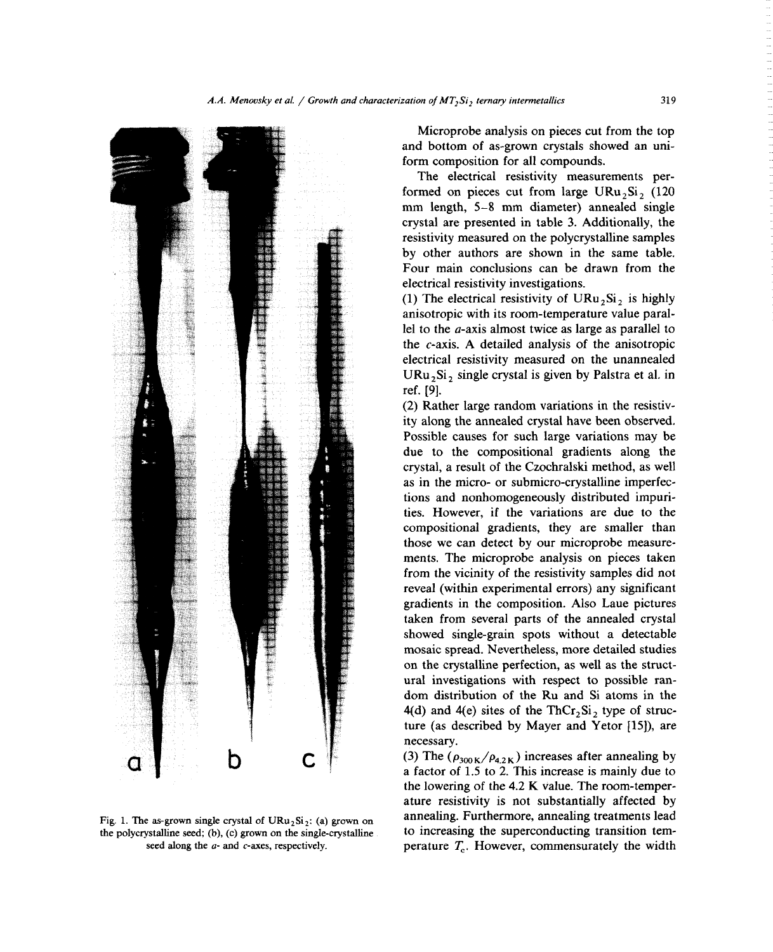

the polycrystalline seed; (b), (c) grown on the single-crystalline seed along the  $a$ - and  $c$ -axes, respectively.

Microprobe analysis on pieces cut from the top and bottom of as-grown crystals showed an uni-<br>form composition for all compounds.

The electrical resistivity measurements performed on pieces cut from large  $URu<sub>2</sub>Si<sub>2</sub>$  (120) mm length, 5—8 mm diameter) annealed single crystal are presented in table 3. Additionally, the resistivity measured on the polycrystalline samples  $\frac{1}{2}$  resistivity incasticu on the polycrystalline samples<br>by other authors are shown in the same table by other authors are shown in the same table. Four main conclusions can be drawn from the electrical resistivity investigations.

> (1) The electrical resistivity of URu<sub>2</sub>Si<sub>2</sub> is highly anisotropic with its room-temperature value parallel to the a-axis almost twice as large as parallel to the c-axis. A detailed analysis of the anisotropic electrical resistivity measured on the unannealed  $URu<sub>2</sub>Si<sub>2</sub>$  single crystal is given by Palstra et al. in ref. [9].

(2) Rather large random variations in the resistivity along the annealed crystal have been observed. Possible causes for such large variations may be \_\_\_\_\_\_\_\_ due to the compositional gradients along the \_\_\_\_\_\_\_\_\_ crystal, a result of the Czochralski method, as well as in the micro- or submicro-crystalline imperfec-<br>tions and nonhomogeneously distributed impuritions and nonhomogeneously distributed impurities. However, if the variations are due to the compositional gradients, they are smaller than those we can detect by our microprobe measurements. The microprobe analysis on pieces taken from the vicinity of the resistivity samples did not reveal (within experimental errors) any significant gradients in the composition. Also Laue pictures taken from several parts of the annealed crystal showed single-grain spots without a detectable mosaic spread. Nevertheless, more detailed studies on the crystalline perfection, as well as the structural investigations with respect to possible random distribution of the Ru and Si atoms in the 4(d) and 4(e) sites of the  $ThCr<sub>2</sub>Si<sub>2</sub>$  type of structure (as described by Mayer and Yetor [15]), are

**D** C (3) The  $(\rho_{300\text{K}}/\rho_{4.2\text{K}})$  increases after annealing by a factor of *1.5* to 2. This increase is mainly due to the lowering of the 4.2 K value. The room-temperature resistivity is not substantially affected by annealing. Furthermore, annealing treatments lead Fig. 1. The as-grown single crystal of  $URu<sub>2</sub>Si<sub>2</sub>$ : (a) grown on annealing. Furthermore, annealing treatments lead the polycrystalline seed; (b), (c) grown on the single-crystalline to increasing the superconducti perature  $T_c$ . However, commensurately the width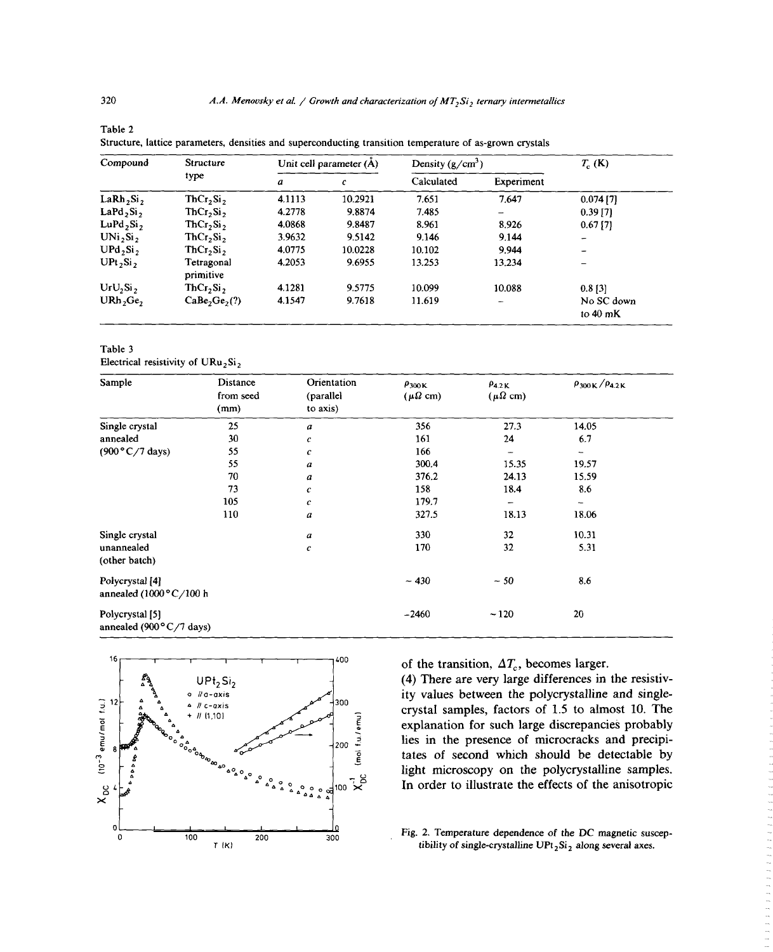| Compound                          | Structure<br>type                     | Unit cell parameter $(A)$ |         | Density $(g/cm^3)$ |                          | $T_c$ (K)                        |
|-----------------------------------|---------------------------------------|---------------------------|---------|--------------------|--------------------------|----------------------------------|
|                                   |                                       | a                         | c       | Calculated         | Experiment               |                                  |
| LaRh <sub>2</sub> Si <sub>2</sub> | ThCr, Si,                             | 4.1113                    | 10.2921 | 7.651              | 7.647                    | $0.074$ [7]                      |
| LaPd <sub>2</sub> Si <sub>2</sub> | ThCr, Si,                             | 4.2778                    | 9.8874  | 7.485              | $\overline{\phantom{0}}$ | $0.39$ [7]                       |
| LuPd <sub>2</sub> Si <sub>2</sub> | ThCr, Si,                             | 4.0868                    | 9.8487  | 8.961              | 8.926                    | $0.67$ [7]                       |
| UNi <sub>2</sub> Si <sub>2</sub>  | ThCr <sub>2</sub> Si <sub>2</sub>     | 3.9632                    | 9.5142  | 9.146              | 9.144                    | $\overline{\phantom{a}}$         |
| $UPd_2Si_2$                       | ThCr <sub>2</sub> Si <sub>2</sub>     | 4.0775                    | 10.0228 | 10.102             | 9.944                    | -                                |
| $UPt_2Si_2$                       | Tetragonal<br>primitive               | 4.2053                    | 9.6955  | 13.253             | 13.234                   | -                                |
| $UrU_2Si_2$                       | ThCr, Si,                             | 4.1281                    | 9.5775  | 10.099             | 10.088                   | $0.8$ [3]                        |
| URh <sub>2</sub> Ge <sub>2</sub>  | CaBe <sub>2</sub> Ge <sub>2</sub> (?) | 4.1547                    | 9.7618  | 11.619             | ۰                        | No SC down<br>to $40 \text{ mK}$ |

 $\frac{1}{2}$ able 2 Structure, lattice parameters, densities and superconducting transition temperature of as-grown crystals

 $T^{\text{AOL}}$ 

Electrical resistivity of  $\sigma$ <sub>Nu</sub><sub>2</sub>Si<sub>2</sub>

| Sample                                               | Distance<br>from seed<br>(mm) | Orientation<br>(parallel<br>to axis) | $\rho_{300\,\mathrm{K}}$<br>$(\mu \Omega \text{ cm})$ | $\rho_{4.2\,\mathrm{K}}$<br>$(\mu \Omega \text{ cm})$ | $\rho_{300\,\text{K}}/\rho_{4.2\,\text{K}}$ |
|------------------------------------------------------|-------------------------------|--------------------------------------|-------------------------------------------------------|-------------------------------------------------------|---------------------------------------------|
| Single crystal                                       | 25                            | a                                    | 356                                                   | 27.3                                                  | 14.05                                       |
| annealed                                             | 30                            | с                                    | 161                                                   | 24                                                    | 6.7                                         |
| $(900 °C/7$ days)                                    | 55                            | с                                    | 166                                                   | -                                                     | -                                           |
|                                                      | 55                            | a                                    | 300.4                                                 | 15.35                                                 | 19.57                                       |
|                                                      | 70                            | a                                    | 376.2                                                 | 24.13                                                 | 15.59                                       |
|                                                      | 73                            | c                                    | 158                                                   | 18.4                                                  | 8.6                                         |
|                                                      | 105                           | c                                    | 179.7                                                 | $\overline{\phantom{m}}$                              | -                                           |
|                                                      | 110                           | a                                    | 327.5                                                 | 18.13                                                 | 18.06                                       |
| Single crystal                                       |                               | $\boldsymbol{a}$                     | 330                                                   | 32                                                    | 10.31                                       |
| unannealed<br>(other batch)                          |                               | c                                    | 170                                                   | 32                                                    | 5.31                                        |
| Polycrystal [4]<br>annealed $(1000 °C/100 h$         |                               |                                      | $-430$                                                | $-50$                                                 | 8.6                                         |
| Polycrystal [5]<br>annealed (900 $\degree$ C/7 days) |                               |                                      | $-2460$                                               | $-120$                                                | 20                                          |



 $\mathsf{UPt}_2\mathsf{Si}_2$ <br>  $\mathsf{AP}$  (4) There are very large differences in the resistiv-<br>
ity values between the polycrystalline and singletates of second which should be detectable by light microscopy on the polycrystalline samples.<br>100<sup>7</sup> **0** In order to illustrate the effects of the anisotropic

 $\tau$  (k)  $\tau$  tibility of single-crystalline UPt<sub>2</sub>Si<sub>2</sub> along several axes.